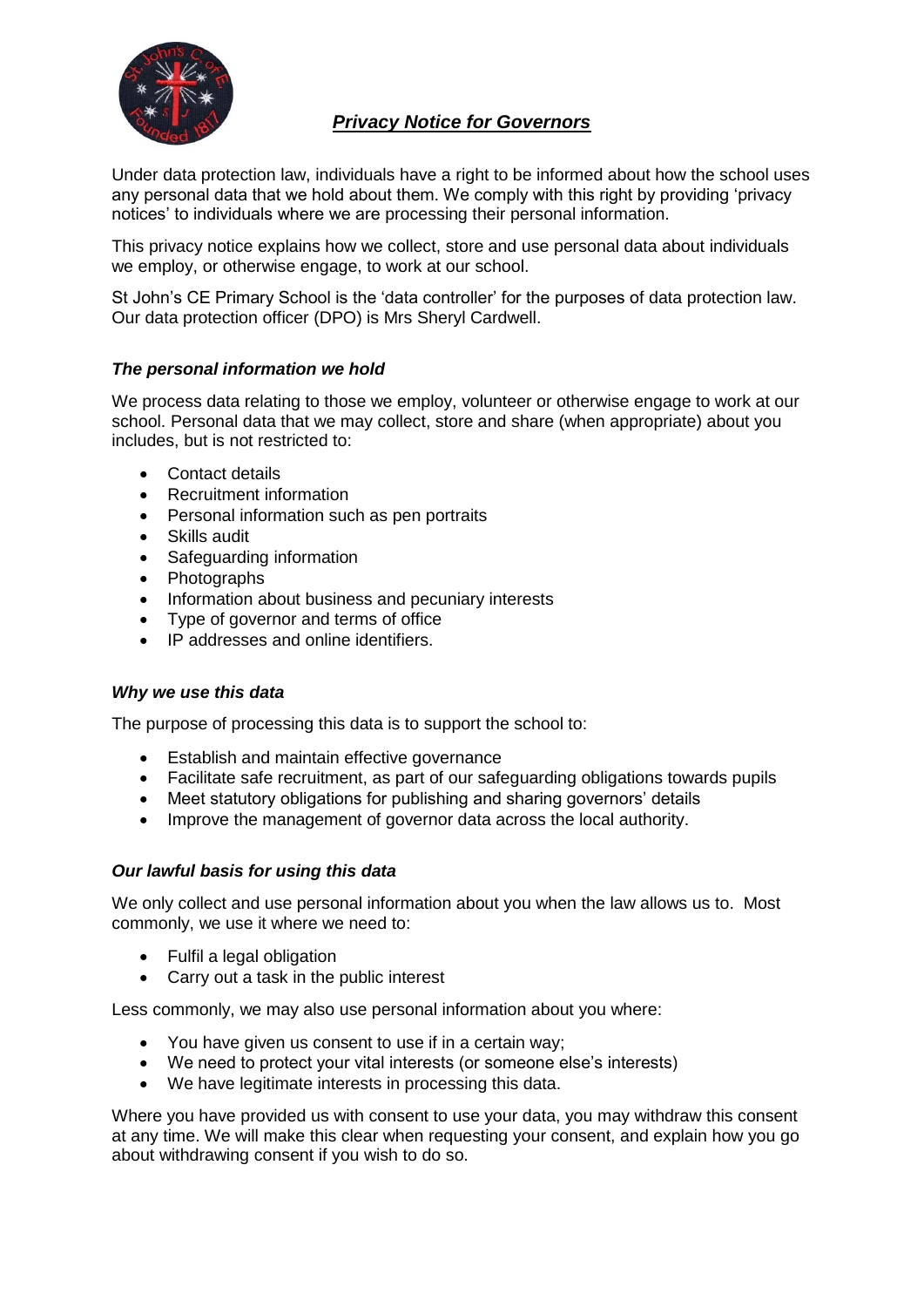

# *Privacy Notice for Governors*

Under data protection law, individuals have a right to be informed about how the school uses any personal data that we hold about them. We comply with this right by providing 'privacy notices' to individuals where we are processing their personal information.

This privacy notice explains how we collect, store and use personal data about individuals we employ, or otherwise engage, to work at our school.

St John's CE Primary School is the 'data controller' for the purposes of data protection law. Our data protection officer (DPO) is Mrs Sheryl Cardwell.

## *The personal information we hold*

We process data relating to those we employ, volunteer or otherwise engage to work at our school. Personal data that we may collect, store and share (when appropriate) about you includes, but is not restricted to:

- Contact details
- Recruitment information
- Personal information such as pen portraits
- Skills audit
- Safeguarding information
- Photographs
- Information about business and pecuniary interests
- Type of governor and terms of office
- IP addresses and online identifiers.

### *Why we use this data*

The purpose of processing this data is to support the school to:

- Establish and maintain effective governance
- Facilitate safe recruitment, as part of our safeguarding obligations towards pupils
- Meet statutory obligations for publishing and sharing governors' details
- Improve the management of governor data across the local authority.

### *Our lawful basis for using this data*

We only collect and use personal information about you when the law allows us to. Most commonly, we use it where we need to:

- Fulfil a legal obligation
- Carry out a task in the public interest

Less commonly, we may also use personal information about you where:

- You have given us consent to use if in a certain way;
- We need to protect your vital interests (or someone else's interests)
- We have legitimate interests in processing this data.

Where you have provided us with consent to use your data, you may withdraw this consent at any time. We will make this clear when requesting your consent, and explain how you go about withdrawing consent if you wish to do so.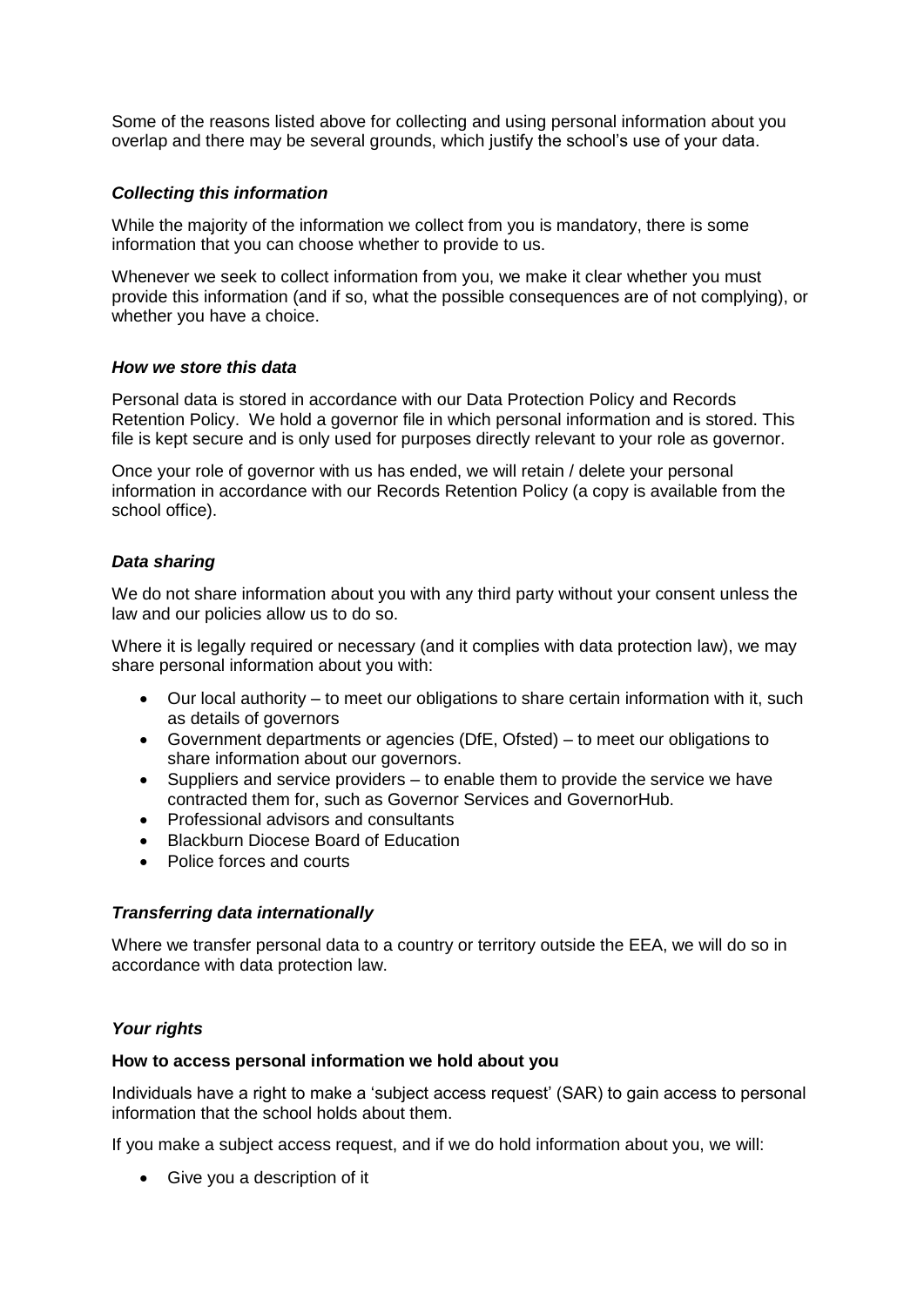Some of the reasons listed above for collecting and using personal information about you overlap and there may be several grounds, which justify the school's use of your data.

### *Collecting this information*

While the majority of the information we collect from you is mandatory, there is some information that you can choose whether to provide to us.

Whenever we seek to collect information from you, we make it clear whether you must provide this information (and if so, what the possible consequences are of not complying), or whether you have a choice.

#### *How we store this data*

Personal data is stored in accordance with our Data Protection Policy and Records Retention Policy. We hold a governor file in which personal information and is stored. This file is kept secure and is only used for purposes directly relevant to your role as governor.

Once your role of governor with us has ended, we will retain / delete your personal information in accordance with our Records Retention Policy (a copy is available from the school office).

## *Data sharing*

We do not share information about you with any third party without your consent unless the law and our policies allow us to do so.

Where it is legally required or necessary (and it complies with data protection law), we may share personal information about you with:

- Our local authority to meet our obligations to share certain information with it, such as details of governors
- Government departments or agencies (DfE, Ofsted) to meet our obligations to share information about our governors.
- Suppliers and service providers to enable them to provide the service we have contracted them for, such as Governor Services and GovernorHub.
- Professional advisors and consultants
- Blackburn Diocese Board of Education
- Police forces and courts

### *Transferring data internationally*

Where we transfer personal data to a country or territory outside the EEA, we will do so in accordance with data protection law.

### *Your rights*

#### **How to access personal information we hold about you**

Individuals have a right to make a 'subject access request' (SAR) to gain access to personal information that the school holds about them.

If you make a subject access request, and if we do hold information about you, we will:

Give you a description of it